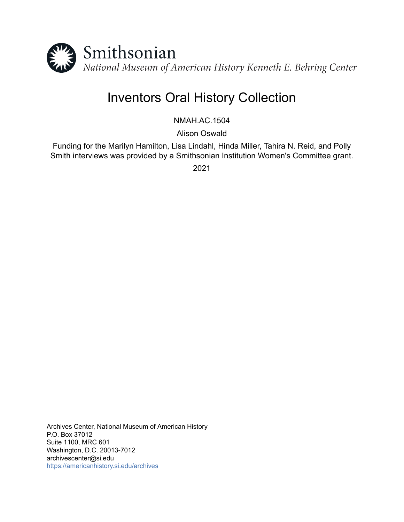

# Inventors Oral History Collection

NMAH.AC.1504

Alison Oswald

Funding for the Marilyn Hamilton, Lisa Lindahl, Hinda Miller, Tahira N. Reid, and Polly Smith interviews was provided by a Smithsonian Institution Women's Committee grant.

2021

Archives Center, National Museum of American History P.O. Box 37012 Suite 1100, MRC 601 Washington, D.C. 20013-7012 archivescenter@si.edu <https://americanhistory.si.edu/archives>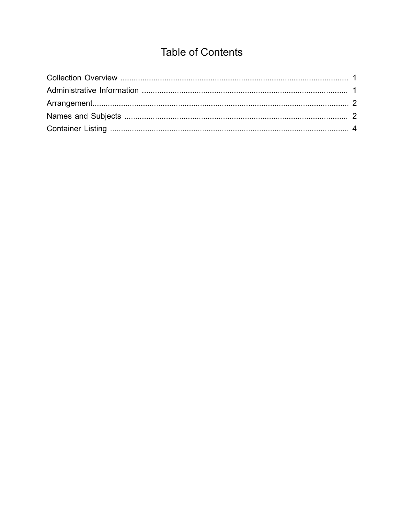# **Table of Contents**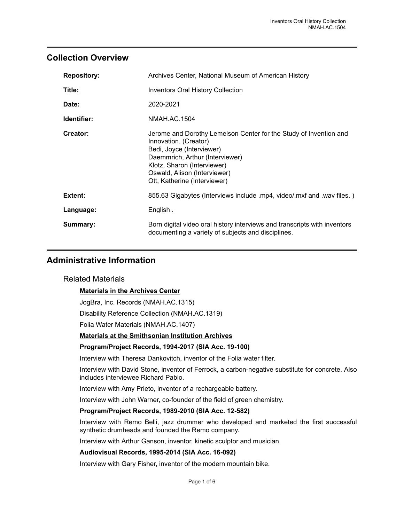# <span id="page-2-0"></span>**Collection Overview**

| <b>Repository:</b> | Archives Center, National Museum of American History                                                                                                                                                                                                      |
|--------------------|-----------------------------------------------------------------------------------------------------------------------------------------------------------------------------------------------------------------------------------------------------------|
| Title:             | <b>Inventors Oral History Collection</b>                                                                                                                                                                                                                  |
| Date:              | 2020-2021                                                                                                                                                                                                                                                 |
| Identifier:        | NMAH.AC.1504                                                                                                                                                                                                                                              |
| Creator:           | Jerome and Dorothy Lemelson Center for the Study of Invention and<br>Innovation. (Creator)<br>Bedi, Joyce (Interviewer)<br>Daemmrich, Arthur (Interviewer)<br>Klotz, Sharon (Interviewer)<br>Oswald, Alison (Interviewer)<br>Ott, Katherine (Interviewer) |
| Extent:            | 855.63 Gigabytes (Interviews include .mp4, video/.mxf and .wav files.)                                                                                                                                                                                    |
| Language:          | English.                                                                                                                                                                                                                                                  |
| Summary:           | Born digital video oral history interviews and transcripts with inventors<br>documenting a variety of subjects and disciplines.                                                                                                                           |

# <span id="page-2-1"></span>**Administrative Information**

### Related Materials

### **Materials in the Archives Center**

JogBra, Inc. Records (NMAH.AC.1315)

Disability Reference Collection (NMAH.AC.1319)

Folia Water Materials (NMAH.AC.1407)

#### **Materials at the Smithsonian Institution Archives**

#### **Program/Project Records, 1994-2017 (SIA Acc. 19-100)**

Interview with Theresa Dankovitch, inventor of the Folia water filter.

Interview with David Stone, inventor of Ferrock, a carbon-negative substitute for concrete. Also includes interviewee Richard Pablo.

Interview with Amy Prieto, inventor of a rechargeable battery.

Interview with John Warner, co-founder of the field of green chemistry.

#### **Program/Project Records, 1989-2010 (SIA Acc. 12-582)**

Interview with Remo Belli, jazz drummer who developed and marketed the first successful synthetic drumheads and founded the Remo company.

Interview with Arthur Ganson, inventor, kinetic sculptor and musician.

#### **Audiovisual Records, 1995-2014 (SIA Acc. 16-092)**

Interview with Gary Fisher, inventor of the modern mountain bike.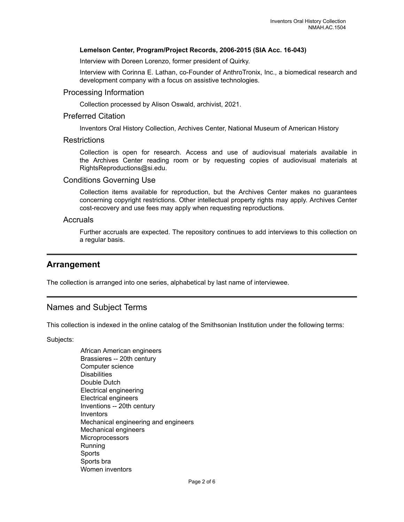#### **Lemelson Center, Program/Project Records, 2006-2015 (SIA Acc. 16-043)**

Interview with Doreen Lorenzo, former president of Quirky.

Interview with Corinna E. Lathan, co-Founder of AnthroTronix, Inc., a biomedical research and development company with a focus on assistive technologies.

#### Processing Information

Collection processed by Alison Oswald, archivist, 2021.

#### Preferred Citation

Inventors Oral History Collection, Archives Center, National Museum of American History

#### **Restrictions**

Collection is open for research. Access and use of audiovisual materials available in the Archives Center reading room or by requesting copies of audiovisual materials at RightsReproductions@si.edu.

#### Conditions Governing Use

Collection items available for reproduction, but the Archives Center makes no guarantees concerning copyright restrictions. Other intellectual property rights may apply. Archives Center cost-recovery and use fees may apply when requesting reproductions.

#### **Accruals**

Further accruals are expected. The repository continues to add interviews to this collection on a regular basis.

### <span id="page-3-0"></span>**Arrangement**

The collection is arranged into one series, alphabetical by last name of interviewee.

# <span id="page-3-1"></span>Names and Subject Terms

This collection is indexed in the online catalog of the Smithsonian Institution under the following terms:

Subjects:

African American engineers Brassieres -- 20th century Computer science **Disabilities** Double Dutch Electrical engineering Electrical engineers Inventions -- 20th century **Inventors** Mechanical engineering and engineers Mechanical engineers **Microprocessors** Running **Sports** Sports bra Women inventors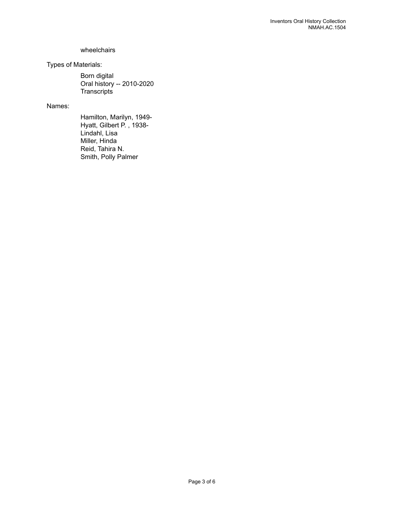#### wheelchairs

## Types of Materials:

Born digital Oral history -- 2010-2020 **Transcripts** 

## Names:

Hamilton, Marilyn, 1949- Hyatt, Gilbert P. , 1938- Lindahl, Lisa Miller, Hinda Reid, Tahira N. Smith, Polly Palmer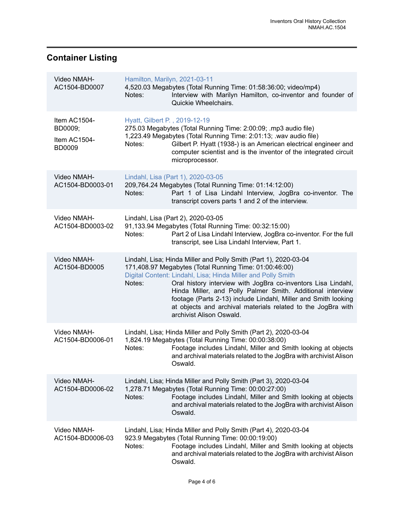# <span id="page-5-0"></span>**Container Listing**

| Video NMAH-<br>AC1504-BD0007                             | Notes:                                  | Hamilton, Marilyn, 2021-03-11<br>4,520.03 Megabytes (Total Running Time: 01:58:36:00; video/mp4)<br>Interview with Marilyn Hamilton, co-inventor and founder of<br>Quickie Wheelchairs.                                                                                                                                                                                                                                                                                                 |
|----------------------------------------------------------|-----------------------------------------|-----------------------------------------------------------------------------------------------------------------------------------------------------------------------------------------------------------------------------------------------------------------------------------------------------------------------------------------------------------------------------------------------------------------------------------------------------------------------------------------|
| Item AC1504-<br>BD0009;<br>Item AC1504-<br><b>BD0009</b> | Hyatt, Gilbert P., 2019-12-19<br>Notes: | 275.03 Megabytes (Total Running Time: 2:00:09; .mp3 audio file)<br>1,223.49 Megabytes (Total Running Time: 2:01:13; .wav audio file)<br>Gilbert P. Hyatt (1938-) is an American electrical engineer and<br>computer scientist and is the inventor of the integrated circuit<br>microprocessor.                                                                                                                                                                                          |
| Video NMAH-<br>AC1504-BD0003-01                          | Notes:                                  | Lindahl, Lisa (Part 1), 2020-03-05<br>209,764.24 Megabytes (Total Running Time: 01:14:12:00)<br>Part 1 of Lisa Lindahl Interview, JogBra co-inventor. The<br>transcript covers parts 1 and 2 of the interview.                                                                                                                                                                                                                                                                          |
| Video NMAH-<br>AC1504-BD0003-02                          | Notes:                                  | Lindahl, Lisa (Part 2), 2020-03-05<br>91,133.94 Megabytes (Total Running Time: 00:32:15:00)<br>Part 2 of Lisa Lindahl Interview, JogBra co-inventor. For the full<br>transcript, see Lisa Lindahl Interview, Part 1.                                                                                                                                                                                                                                                                    |
| Video NMAH-<br>AC1504-BD0005                             | Notes:                                  | Lindahl, Lisa; Hinda Miller and Polly Smith (Part 1), 2020-03-04<br>171,408.97 Megabytes (Total Running Time: 01:00:46:00)<br>Digital Content: Lindahl, Lisa; Hinda Miller and Polly Smith<br>Oral history interview with JogBra co-inventors Lisa Lindahl,<br>Hinda Miller, and Polly Palmer Smith. Additional interview<br>footage (Parts 2-13) include Lindahl, Miller and Smith looking<br>at objects and archival materials related to the JogBra with<br>archivist Alison Oswald. |
| Video NMAH-<br>AC1504-BD0006-01                          | Notes:                                  | Lindahl, Lisa; Hinda Miller and Polly Smith (Part 2), 2020-03-04<br>1,824.19 Megabytes (Total Running Time: 00:00:38:00)<br>Footage includes Lindahl, Miller and Smith looking at objects<br>and archival materials related to the JogBra with archivist Alison<br>Oswald.                                                                                                                                                                                                              |
| Video NMAH-<br>AC1504-BD0006-02                          | Notes:                                  | Lindahl, Lisa; Hinda Miller and Polly Smith (Part 3), 2020-03-04<br>1,278.71 Megabytes (Total Running Time: 00:00:27:00)<br>Footage includes Lindahl, Miller and Smith looking at objects<br>and archival materials related to the JogBra with archivist Alison<br>Oswald.                                                                                                                                                                                                              |
| Video NMAH-<br>AC1504-BD0006-03                          | Notes:                                  | Lindahl, Lisa; Hinda Miller and Polly Smith (Part 4), 2020-03-04<br>923.9 Megabytes (Total Running Time: 00:00:19:00)<br>Footage includes Lindahl, Miller and Smith looking at objects<br>and archival materials related to the JogBra with archivist Alison<br>Oswald.                                                                                                                                                                                                                 |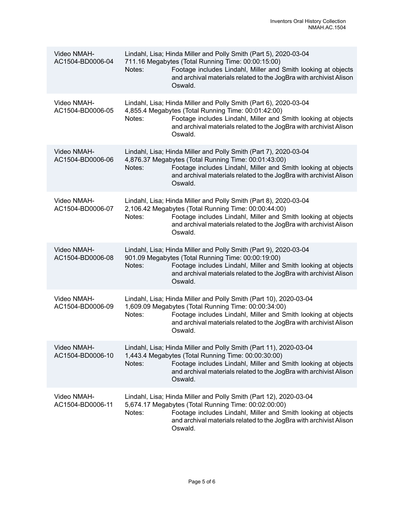| Video NMAH-<br>AC1504-BD0006-04 | Lindahl, Lisa; Hinda Miller and Polly Smith (Part 5), 2020-03-04<br>711.16 Megabytes (Total Running Time: 00:00:15:00)<br>Footage includes Lindahl, Miller and Smith looking at objects<br>Notes:<br>and archival materials related to the JogBra with archivist Alison<br>Oswald.    |
|---------------------------------|---------------------------------------------------------------------------------------------------------------------------------------------------------------------------------------------------------------------------------------------------------------------------------------|
| Video NMAH-<br>AC1504-BD0006-05 | Lindahl, Lisa; Hinda Miller and Polly Smith (Part 6), 2020-03-04<br>4,855.4 Megabytes (Total Running Time: 00:01:42:00)<br>Footage includes Lindahl, Miller and Smith looking at objects<br>Notes:<br>and archival materials related to the JogBra with archivist Alison<br>Oswald.   |
| Video NMAH-<br>AC1504-BD0006-06 | Lindahl, Lisa; Hinda Miller and Polly Smith (Part 7), 2020-03-04<br>4,876.37 Megabytes (Total Running Time: 00:01:43:00)<br>Footage includes Lindahl, Miller and Smith looking at objects<br>Notes:<br>and archival materials related to the JogBra with archivist Alison<br>Oswald.  |
| Video NMAH-<br>AC1504-BD0006-07 | Lindahl, Lisa; Hinda Miller and Polly Smith (Part 8), 2020-03-04<br>2,106.42 Megabytes (Total Running Time: 00:00:44:00)<br>Footage includes Lindahl, Miller and Smith looking at objects<br>Notes:<br>and archival materials related to the JogBra with archivist Alison<br>Oswald.  |
| Video NMAH-<br>AC1504-BD0006-08 | Lindahl, Lisa; Hinda Miller and Polly Smith (Part 9), 2020-03-04<br>901.09 Megabytes (Total Running Time: 00:00:19:00)<br>Footage includes Lindahl, Miller and Smith looking at objects<br>Notes:<br>and archival materials related to the JogBra with archivist Alison<br>Oswald.    |
| Video NMAH-<br>AC1504-BD0006-09 | Lindahl, Lisa; Hinda Miller and Polly Smith (Part 10), 2020-03-04<br>1,609.09 Megabytes (Total Running Time: 00:00:34:00)<br>Footage includes Lindahl, Miller and Smith looking at objects<br>Notes:<br>and archival materials related to the JogBra with archivist Alison<br>Oswald. |
| Video NMAH-<br>AC1504-BD0006-10 | Lindahl, Lisa; Hinda Miller and Polly Smith (Part 11), 2020-03-04<br>1,443.4 Megabytes (Total Running Time: 00:00:30:00)<br>Footage includes Lindahl, Miller and Smith looking at objects<br>Notes:<br>and archival materials related to the JogBra with archivist Alison<br>Oswald.  |
| Video NMAH-<br>AC1504-BD0006-11 | Lindahl, Lisa; Hinda Miller and Polly Smith (Part 12), 2020-03-04<br>5,674.17 Megabytes (Total Running Time: 00:02:00:00)<br>Footage includes Lindahl, Miller and Smith looking at objects<br>Notes:<br>and archival materials related to the JogBra with archivist Alison<br>Oswald. |